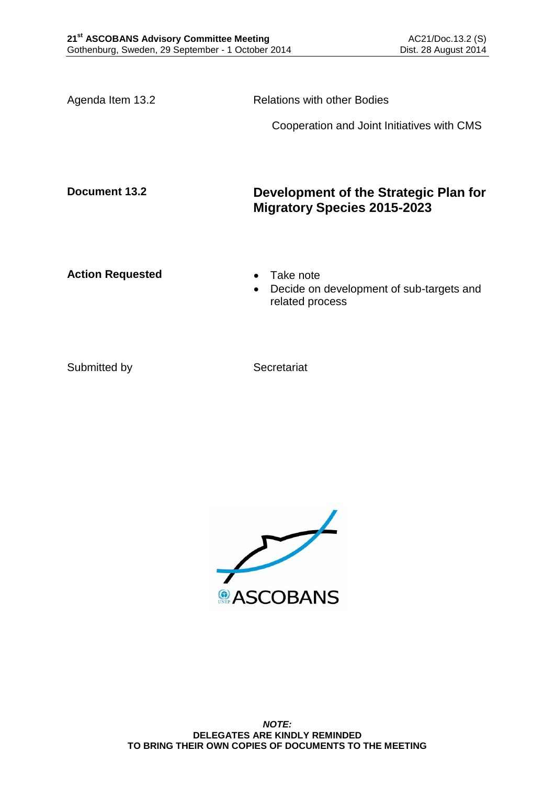Agenda Item 13.2 Relations with other Bodies Cooperation and Joint Initiatives with CMS **Document 13.2 Development of the Strategic Plan for Migratory Species 2015-2023** Action Requested **Canadian Exercise Action Requested Canadian Exercise**  Decide on development of sub-targets and related process

Submitted by Secretariat

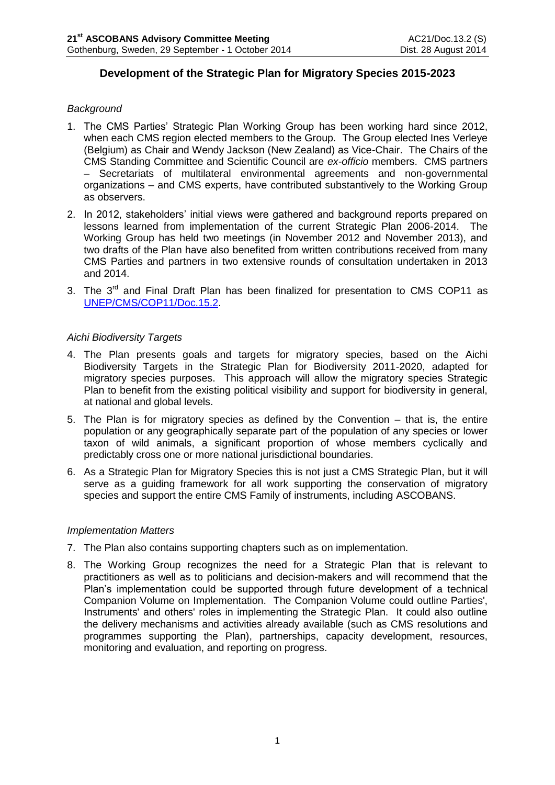# **Development of the Strategic Plan for Migratory Species 2015-2023**

## *Background*

- 1. The CMS Parties' Strategic Plan Working Group has been working hard since 2012, when each CMS region elected members to the Group. The Group elected Ines Verleye (Belgium) as Chair and Wendy Jackson (New Zealand) as Vice-Chair. The Chairs of the CMS Standing Committee and Scientific Council are *ex-officio* members. CMS partners – Secretariats of multilateral environmental agreements and non-governmental organizations – and CMS experts, have contributed substantively to the Working Group as observers.
- 2. In 2012, stakeholders' initial views were gathered and background reports prepared on lessons learned from implementation of the current Strategic Plan 2006-2014. The Working Group has held two meetings (in November 2012 and November 2013), and two drafts of the Plan have also benefited from written contributions received from many CMS Parties and partners in two extensive rounds of consultation undertaken in 2013 and 2014.
- 3. The  $3<sup>rd</sup>$  and Final Draft Plan has been finalized for presentation to CMS COP11 as [UNEP/CMS/COP11/Doc.15.2.](http://www.cms.int/en/document/strategic-plan-migratory-species-2015-2023)

## *Aichi Biodiversity Targets*

- 4. The Plan presents goals and targets for migratory species, based on the Aichi Biodiversity Targets in the Strategic Plan for Biodiversity 2011-2020, adapted for migratory species purposes. This approach will allow the migratory species Strategic Plan to benefit from the existing political visibility and support for biodiversity in general, at national and global levels.
- 5. The Plan is for migratory species as defined by the Convention that is, the entire population or any geographically separate part of the population of any species or lower taxon of wild animals, a significant proportion of whose members cyclically and predictably cross one or more national jurisdictional boundaries.
- 6. As a Strategic Plan for Migratory Species this is not just a CMS Strategic Plan, but it will serve as a guiding framework for all work supporting the conservation of migratory species and support the entire CMS Family of instruments, including ASCOBANS.

## *Implementation Matters*

- 7. The Plan also contains supporting chapters such as on implementation.
- 8. The Working Group recognizes the need for a Strategic Plan that is relevant to practitioners as well as to politicians and decision-makers and will recommend that the Plan's implementation could be supported through future development of a technical Companion Volume on Implementation. The Companion Volume could outline Parties', Instruments' and others' roles in implementing the Strategic Plan. It could also outline the delivery mechanisms and activities already available (such as CMS resolutions and programmes supporting the Plan), partnerships, capacity development, resources, monitoring and evaluation, and reporting on progress.